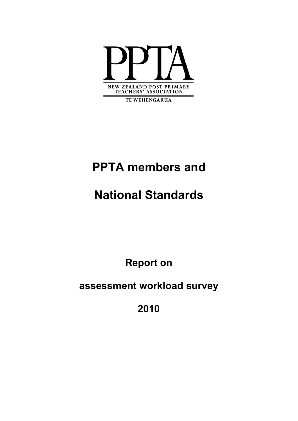

**TE WEHENGARUA** 

# **PPTA members and**

# **National Standards**

**Report on** 

**assessment workload survey** 

**2010**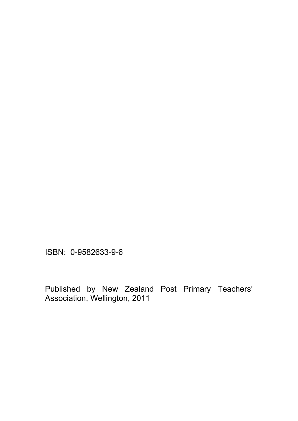ISBN: 0-9582633-9-6

Published by New Zealand Post Primary Teachers' Association, Wellington, 2011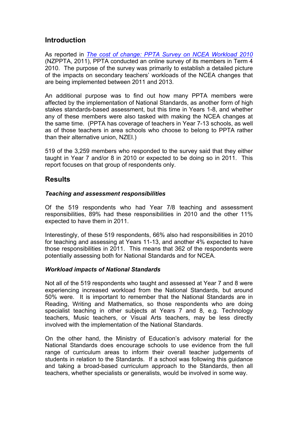## **Introduction**

As reported in *[The cost of change: PPTA Survey on NCEA Workload 2010](http://www.ppta.org.nz/index.php/resources/publication-list/1661-cost-of-change)*  (NZPPTA, 2011), PPTA conducted an online survey of its members in Term 4 2010. The purpose of the survey was primarily to establish a detailed picture of the impacts on secondary teachers' workloads of the NCEA changes that are being implemented between 2011 and 2013.

An additional purpose was to find out how many PPTA members were affected by the implementation of National Standards, as another form of high stakes standards-based assessment, but this time in Years 1-8, and whether any of these members were also tasked with making the NCEA changes at the same time. (PPTA has coverage of teachers in Year 7-13 schools, as well as of those teachers in area schools who choose to belong to PPTA rather than their alternative union, NZEI.)

519 of the 3,259 members who responded to the survey said that they either taught in Year 7 and/or 8 in 2010 or expected to be doing so in 2011. This report focuses on that group of respondents only.

## **Results**

## *Teaching and assessment responsibilities*

Of the 519 respondents who had Year 7/8 teaching and assessment responsibilities, 89% had these responsibilities in 2010 and the other 11% expected to have them in 2011.

Interestingly, of these 519 respondents, 66% also had responsibilities in 2010 for teaching and assessing at Years 11-13, and another 4% expected to have those responsibilities in 2011. This means that 362 of the respondents were potentially assessing both for National Standards and for NCEA.

## *Workload impacts of National Standards*

Not all of the 519 respondents who taught and assessed at Year 7 and 8 were experiencing increased workload from the National Standards, but around 50% were. It is important to remember that the National Standards are in Reading, Writing and Mathematics, so those respondents who are doing specialist teaching in other subjects at Years 7 and 8, e.g. Technology teachers, Music teachers, or Visual Arts teachers, may be less directly involved with the implementation of the National Standards.

On the other hand, the Ministry of Education's advisory material for the National Standards does encourage schools to use evidence from the full range of curriculum areas to inform their overall teacher judgements of students in relation to the Standards. If a school was following this guidance and taking a broad-based curriculum approach to the Standards, then all teachers, whether specialists or generalists, would be involved in some way.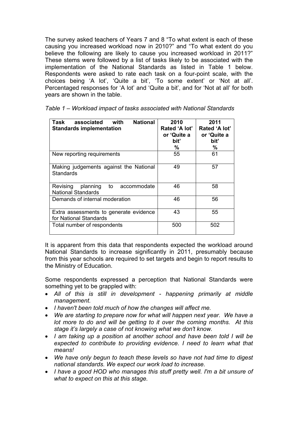The survey asked teachers of Years 7 and 8 "To what extent is each of these causing you increased workload now in 2010?" and "To what extent do you believe the following are likely to cause you increased workload in 2011?" These stems were followed by a list of tasks likely to be associated with the implementation of the National Standards as listed in Table 1 below. Respondents were asked to rate each task on a four-point scale, with the choices being 'A lot', 'Quite a bit', 'To some extent' or 'Not at all'. Percentaged responses for 'A lot' and 'Quite a bit', and for 'Not at all' for both years are shown in the table.

| <b>National</b><br>Task<br>associated<br>with<br><b>Standards implementation</b> | 2010<br>Rated 'A lot' | 2011<br>Rated 'A lot' |
|----------------------------------------------------------------------------------|-----------------------|-----------------------|
|                                                                                  | or 'Quite a           | or 'Quite a           |
|                                                                                  | bit'<br>%             | biť<br>℅              |
|                                                                                  |                       |                       |
| New reporting requirements                                                       | 55                    | 61                    |
| Making judgements against the National<br>Standards                              | 49                    | 57                    |
| to<br>planning<br>Revising<br>accommodate<br><b>National Standards</b>           | 46                    | 58                    |
| Demands of internal moderation                                                   | 46                    | 56                    |
| Extra assessments to generate evidence<br>for National Standards                 | 43                    | 55                    |
| Total number of respondents                                                      | 500                   | 502                   |

|  |  |  |  | Table 1 – Workload impact of tasks associated with National Standards |  |  |  |
|--|--|--|--|-----------------------------------------------------------------------|--|--|--|
|--|--|--|--|-----------------------------------------------------------------------|--|--|--|

It is apparent from this data that respondents expected the workload around National Standards to increase significantly in 2011, presumably because from this year schools are required to set targets and begin to report results to the Ministry of Education.

Some respondents expressed a perception that National Standards were something yet to be grappled with:

- *All of this is still in development happening primarily at middle management.*
- *I haven't been told much of how the changes will affect me.*
- *We are starting to prepare now for what will happen next year. We have a lot more to do and will be getting to it over the coming months. At this stage it's largely a case of not knowing what we don't know.*
- *I am taking up a position at another school and have been told I will be*  expected to contribute to providing evidence. I need to learn what that *means!*
- *We have only begun to teach these levels so have not had time to digest national standards. We expect our work load to increase.*
- *I have a good HOD who manages this stuff pretty well. I'm a bit unsure of what to expect on this at this stage.*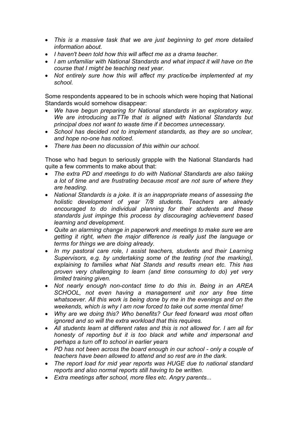- *This is a massive task that we are just beginning to get more detailed information about.*
- *I haven't been told how this will affect me as a drama teacher.*
- *I am unfamiliar with National Standards and what impact it will have on the course that I might be teaching next year.*
- *Not entirely sure how this will affect my practice/be implemented at my school.*

Some respondents appeared to be in schools which were hoping that National Standards would somehow disappear:

- *We have begun preparing for National standards in an exploratory way. We are introducing asTTle that is aligned with National Standards but principal does not want to waste time if it becomes unnecessary.*
- *School has decided not to implement standards, as they are so unclear, and hope no-one has noticed.*
- *There has been no discussion of this within our school.*

Those who had begun to seriously grapple with the National Standards had quite a few comments to make about that:

- *The extra PD and meetings to do with National Standards are also taking a lot of time and are frustrating because most are not sure of where they are heading.*
- *National Standards is a joke. It is an inappropriate means of assessing the holistic development of year 7/8 students. Teachers are already encouraged to do individual planning for their students and these standards just impinge this process by discouraging achievement based learning and development.*
- *Quite an alarming change in paperwork and meetings to make sure we are getting it right, when the major difference is really just the language or terms for things we are doing already.*
- *In my pastoral care role, I assist teachers, students and their Learning Supervisors, e.g. by undertaking some of the testing (not the marking), explaining to families what Nat Stands and results mean etc. This has proven very challenging to learn (and time consuming to do) yet very limited training given.*
- *Not nearly enough non-contact time to do this in. Being in an AREA SCHOOL, not even having a management unit nor any free time whatsoever. All this work is being done by me in the evenings and on the weekends, which is why I am now forced to take out some mental time!*
- *Why are we doing this? Who benefits? Our feed forward was most often ignored and so will the extra workload that this requires.*
- *All students learn at different rates and this is not allowed for. I am all for honesty of reporting but it is too black and white and impersonal and perhaps a turn off to school in earlier years*
- *PD has not been across the board enough in our school only a couple of teachers have been allowed to attend and so rest are in the dark.*
- *The report load for mid year reports was HUGE due to national standard reports and also normal reports still having to be written.*
- *Extra meetings after school, more files etc. Angry parents...*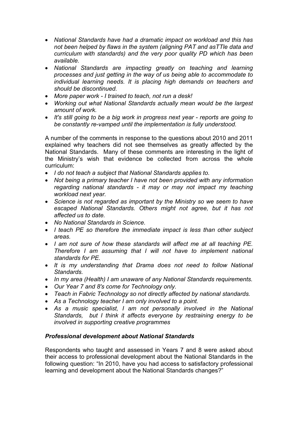- *National Standards have had a dramatic impact on workload and this has not been helped by flaws in the system (aligning PAT and asTTle data and curriculum with standards) and the very poor quality PD which has been available.*
- *National Standards are impacting greatly on teaching and learning processes and just getting in the way of us being able to accommodate to individual learning needs. It is placing high demands on teachers and should be discontinued.*
- *More paper work I trained to teach, not run a desk!*
- *Working out what National Standards actually mean would be the largest amount of work.*
- *It's still going to be a big work in progress next year reports are going to be constantly re-vamped until the implementation is fully understood.*

A number of the comments in response to the questions about 2010 and 2011 explained why teachers did not see themselves as greatly affected by the National Standards. Many of these comments are interesting in the light of the Ministry's wish that evidence be collected from across the whole curriculum:

- *I do not teach a subject that National Standards applies to.*
- *Not being a primary teacher I have not been provided with any information regarding national standards - it may or may not impact my teaching workload next year.*
- *Science is not regarded as important by the Ministry so we seem to have escaped National Standards. Others might not agree, but it has not affected us to date.*
- *No National Standards in Science.*
- *I teach PE so therefore the immediate impact is less than other subject areas.*
- *I am not sure of how these standards will affect me at all teaching PE. Therefore I am assuming that I will not have to implement national standards for PE.*
- *It is my understanding that Drama does not need to follow National Standards.*
- *In my area (Health) I am unaware of any National Standards requirements.*
- *Our Year 7 and 8's come for Technology only.*
- *Teach in Fabric Technology so not directly affected by national standards.*
- *As a Technology teacher I am only involved to a point.*
- *As a music specialist, I am not personally involved in the National Standards, but I think it affects everyone by restraining energy to be involved in supporting creative programmes*

## *Professional development about National Standards*

Respondents who taught and assessed in Years 7 and 8 were asked about their access to professional development about the National Standards in the following question: "In 2010, have you had access to satisfactory professional learning and development about the National Standards changes?"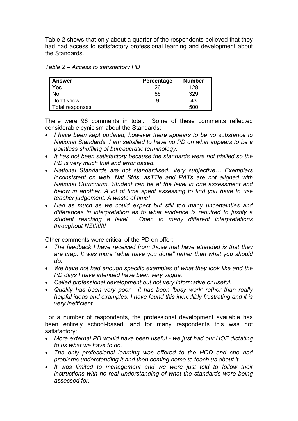Table 2 shows that only about a quarter of the respondents believed that they had had access to satisfactory professional learning and development about the Standards.

| Table 2 – Access to satisfactory PD |  |  |  |
|-------------------------------------|--|--|--|
|-------------------------------------|--|--|--|

| Answer          | Percentage | <b>Number</b> |
|-----------------|------------|---------------|
| Yes             | 26         | 128           |
| <b>No</b>       | 66         | 329           |
| Don't know      |            | 43            |
| Total responses |            | 500           |

There were 96 comments in total. Some of these comments reflected considerable cynicism about the Standards:

- *I have been kept updated, however there appears to be no substance to National Standards. I am satisfied to have no PD on what appears to be a pointless shuffling of bureaucratic terminology.*
- *It has not been satisfactory because the standards were not trialled so the PD is very much trial and error based.*
- *National Standards are not standardised. Very subjective… Exemplars inconsistent on web. Nat Stds, asTTle and PATs are not aligned with National Curriculum. Student can be at the level in one assessment and below in another. A lot of time spent assessing to find you have to use teacher judgement. A waste of time!*
- *Had as much as we could expect but still too many uncertainties and differences in interpretation as to what evidence is required to justify a student reaching a level. Open to many different interpretations throughout NZ!!!!!!!!*

Other comments were critical of the PD on offer:

- *The feedback I have received from those that have attended is that they are crap. It was more "what have you done" rather than what you should do.*
- *We have not had enough specific examples of what they look like and the PD days I have attended have been very vague.*
- *Called professional development but not very informative or useful.*
- *Quality has been very poor it has been 'busy work' rather than really helpful ideas and examples. I have found this incredibly frustrating and it is very inefficient.*

For a number of respondents, the professional development available has been entirely school-based, and for many respondents this was not satisfactory:

- *More external PD would have been useful we just had our HOF dictating to us what we have to do.*
- *The only professional learning was offered to the HOD and she had problems understanding it and then coming home to teach us about it.*
- *It was limited to management and we were just told to follow their instructions with no real understanding of what the standards were being assessed for.*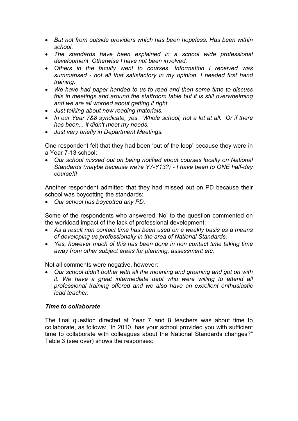- *But not from outside providers which has been hopeless. Has been within school.*
- *The standards have been explained in a school wide professional development. Otherwise I have not been involved.*
- *Others in the faculty went to courses. Information I received was summarised - not all that satisfactory in my opinion. I needed first hand training.*
- *We have had paper handed to us to read and then some time to discuss this in meetings and around the staffroom table but it is still overwhelming and we are all worried about getting it right.*
- *Just talking about new reading materials.*
- *In our Year 7&8 syndicate, yes. Whole school, not a lot at all. Or if there has been... it didn't meet my needs.*
- *Just very briefly in Department Meetings.*

One respondent felt that they had been 'out of the loop' because they were in a Year 7-13 school:

• *Our school missed out on being notified about courses locally on National Standards (maybe because we're Y7-Y13?) - I have been to ONE half-day course!!!* 

Another respondent admitted that they had missed out on PD because their school was boycotting the standards:

• *Our school has boycotted any PD.* 

Some of the respondents who answered 'No' to the question commented on the workload impact of the lack of professional development:

- *As a result non contact time has been used on a weekly basis as a means of developing us professionally in the area of National Standards.*
- *Yes, however much of this has been done in non contact time taking time away from other subject areas for planning, assessment etc.*

Not all comments were negative, however:

• *Our school didn't bother with all the moaning and groaning and got on with it. We have a great intermediate dept who were willing to attend all professional training offered and we also have an excellent enthusiastic lead teacher.* 

## *Time to collaborate*

The final question directed at Year 7 and 8 teachers was about time to collaborate, as follows: "In 2010, has your school provided you with sufficient time to collaborate with colleagues about the National Standards changes?" Table 3 (see over) shows the responses: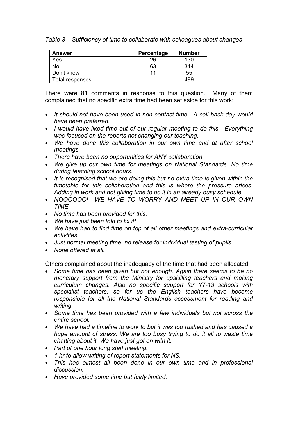*Table 3 – Sufficiency of time to collaborate with colleagues about changes* 

| <b>Answer</b>   | Percentage | <b>Number</b> |
|-----------------|------------|---------------|
| Yes             | 26         | 130           |
| No              | 63         | 314           |
| Don't know      | 11         | 55            |
| Total responses |            | 499           |

There were 81 comments in response to this question. Many of them complained that no specific extra time had been set aside for this work:

- *It should not have been used in non contact time. A call back day would have been preferred.*
- *I would have liked time out of our regular meeting to do this. Everything was focused on the reports not changing our teaching.*
- *We have done this collaboration in our own time and at after school meetings.*
- *There have been no opportunities for ANY collaboration.*
- *We give up our own time for meetings on National Standards. No time during teaching school hours.*
- *It is recognised that we are doing this but no extra time is given within the timetable for this collaboration and this is where the pressure arises. Adding in work and not giving time to do it in an already busy schedule.*
- *NOOOOOO! WE HAVE TO WORRY AND MEET UP IN OUR OWN TIME.*
- *No time has been provided for this.*
- *We have just been told to fix it!*
- *We have had to find time on top of all other meetings and extra-curricular activities.*
- *Just normal meeting time, no release for individual testing of pupils.*
- *None offered at all.*

Others complained about the inadequacy of the time that had been allocated:

- *Some time has been given but not enough. Again there seems to be no monetary support from the Ministry for upskilling teachers and making curriculum changes. Also no specific support for Y7-13 schools with specialist teachers, so for us the English teachers have become responsible for all the National Standards assessment for reading and writing.*
- *Some time has been provided with a few individuals but not across the entire school.*
- *We have had a timeline to work to but it was too rushed and has caused a huge amount of stress. We are too busy trying to do it all to waste time chatting about it. We have just got on with it.*
- *Part of one hour long staff meeting.*
- *1 hr to allow writing of report statements for NS.*
- *This has almost all been done in our own time and in professional discussion.*
- *Have provided some time but fairly limited.*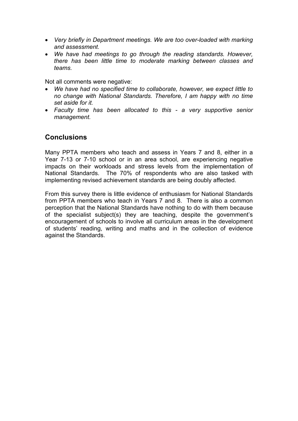- *Very briefly in Department meetings. We are too over-loaded with marking and assessment.*
- *We have had meetings to go through the reading standards. However, there has been little time to moderate marking between classes and teams.*

Not all comments were negative:

- *We have had no specified time to collaborate, however, we expect little to no change with National Standards. Therefore, I am happy with no time set aside for it.*
- *Faculty time has been allocated to this a very supportive senior management.*

## **Conclusions**

Many PPTA members who teach and assess in Years 7 and 8, either in a Year 7-13 or 7-10 school or in an area school, are experiencing negative impacts on their workloads and stress levels from the implementation of National Standards. The 70% of respondents who are also tasked with implementing revised achievement standards are being doubly affected.

From this survey there is little evidence of enthusiasm for National Standards from PPTA members who teach in Years 7 and 8. There is also a common perception that the National Standards have nothing to do with them because of the specialist subject(s) they are teaching, despite the government's encouragement of schools to involve all curriculum areas in the development of students' reading, writing and maths and in the collection of evidence against the Standards.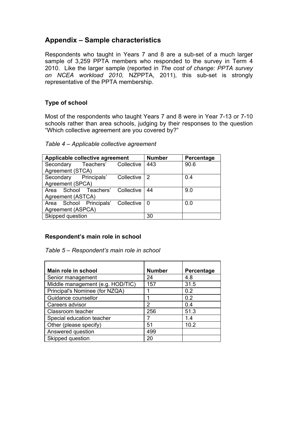## **Appendix – Sample characteristics**

Respondents who taught in Years 7 and 8 are a sub-set of a much larger sample of 3,259 PPTA members who responded to the survey in Term 4 2010. Like the larger sample (reported in *The cost of change: PPTA survey on NCEA workload 2010,* NZPPTA, 2011), this sub-set is strongly representative of the PPTA membership.

## **Type of school**

Most of the respondents who taught Years 7 and 8 were in Year 7-13 or 7-10 schools rather than area schools, judging by their responses to the question "Which collective agreement are you covered by?"

## *Table 4 – Applicable collective agreement*

| Applicable collective agreement    |                      |            | <b>Number</b>  | Percentage |
|------------------------------------|----------------------|------------|----------------|------------|
| Secondary                          | Teachers' Collective |            | 443            | 90.6       |
| Agreement (STCA)                   |                      |            |                |            |
| Secondary Principals'              |                      | Collective | $\overline{2}$ | 0.4        |
| Agreement (SPCA)                   |                      |            |                |            |
| Area School Teachers' Collective   |                      |            | -44            | 9.0        |
| Agreement (ASTCA)                  |                      |            |                |            |
| Area School Principals' Collective |                      |            | -0             | 0.0        |
| Agreement (ASPCA)                  |                      |            |                |            |
| Skipped question                   |                      |            | 30             |            |

## **Respondent's main role in school**

*Table 5 – Respondent's main role in school* 

| Main role in school              | <b>Number</b> | Percentage |
|----------------------------------|---------------|------------|
| Senior management                | 24            | 4.8        |
| Middle management (e.g. HOD/TIC) | 157           | 31.5       |
| Principal's Nominee (for NZQA)   |               | 02         |
| Guidance counsellor              |               | 02         |
| Careers advisor                  | 2             | 0.4        |
| Classroom teacher                | 256           | 51.3       |
| Special education teacher        |               | 1.4        |
| Other (please specify)           | 51            | 10.2       |
| Answered question                | 499           |            |
| Skipped question                 | 20            |            |